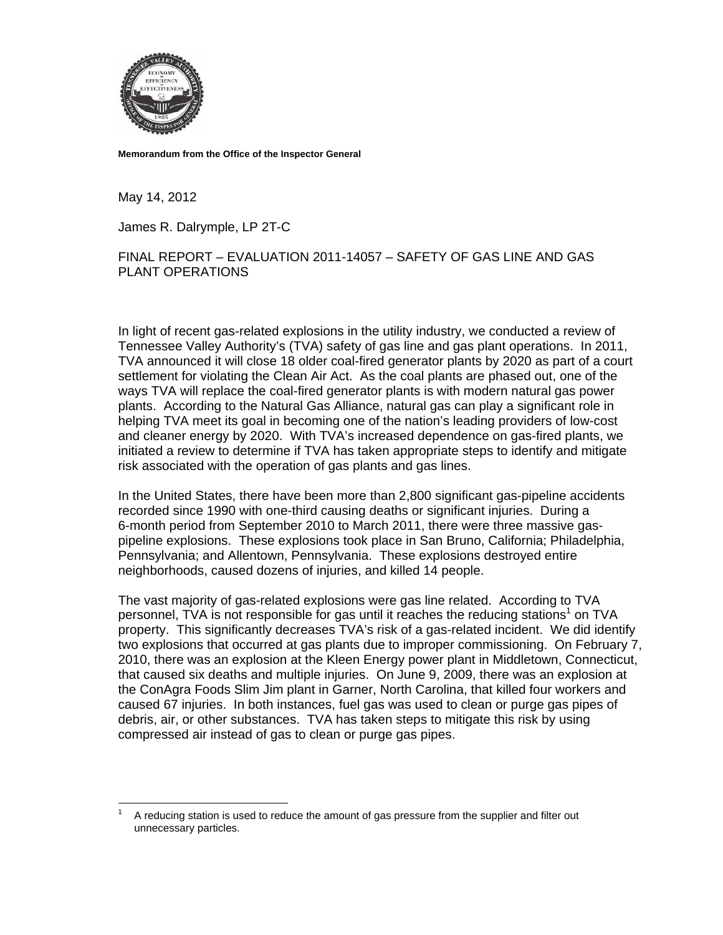

**Memorandum from the Office of the Inspector General** 

May 14, 2012

 $\overline{a}$ 

James R. Dalrymple, LP 2T-C

## FINAL REPORT – EVALUATION 2011-14057 – SAFETY OF GAS LINE AND GAS PLANT OPERATIONS

In light of recent gas-related explosions in the utility industry, we conducted a review of Tennessee Valley Authority's (TVA) safety of gas line and gas plant operations. In 2011, TVA announced it will close 18 older coal-fired generator plants by 2020 as part of a court settlement for violating the Clean Air Act. As the coal plants are phased out, one of the ways TVA will replace the coal-fired generator plants is with modern natural gas power plants. According to the Natural Gas Alliance, natural gas can play a significant role in helping TVA meet its goal in becoming one of the nation's leading providers of low-cost and cleaner energy by 2020. With TVA's increased dependence on gas-fired plants, we initiated a review to determine if TVA has taken appropriate steps to identify and mitigate risk associated with the operation of gas plants and gas lines.

In the United States, there have been more than 2,800 significant gas-pipeline accidents recorded since 1990 with one-third causing deaths or significant injuries. During a 6-month period from September 2010 to March 2011, there were three massive gaspipeline explosions. These explosions took place in San Bruno, California; Philadelphia, Pennsylvania; and Allentown, Pennsylvania. These explosions destroyed entire neighborhoods, caused dozens of injuries, and killed 14 people.

The vast majority of gas-related explosions were gas line related. According to TVA personnel, TVA is not responsible for gas until it reaches the reducing stations<sup>1</sup> on TVA property. This significantly decreases TVA's risk of a gas-related incident. We did identify two explosions that occurred at gas plants due to improper commissioning. On February 7, 2010, there was an explosion at the Kleen Energy power plant in Middletown, Connecticut, that caused six deaths and multiple injuries. On June 9, 2009, there was an explosion at the ConAgra Foods Slim Jim plant in Garner, North Carolina, that killed four workers and caused 67 injuries. In both instances, fuel gas was used to clean or purge gas pipes of debris, air, or other substances. TVA has taken steps to mitigate this risk by using compressed air instead of gas to clean or purge gas pipes.

<sup>1</sup> A reducing station is used to reduce the amount of gas pressure from the supplier and filter out unnecessary particles.